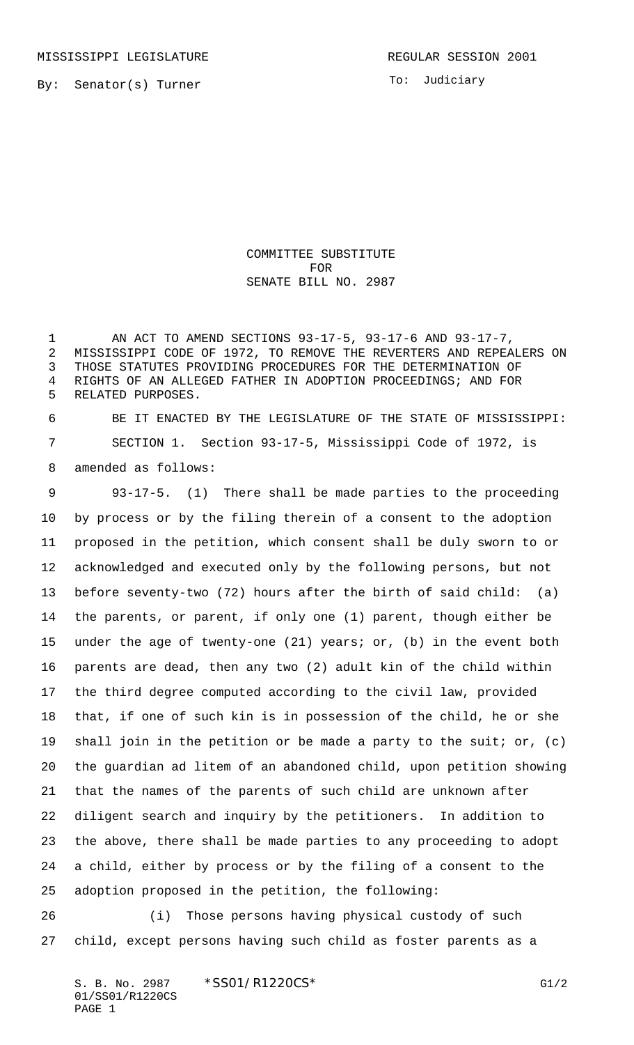To: Judiciary

COMMITTEE SUBSTITUTE FOR SENATE BILL NO. 2987

 AN ACT TO AMEND SECTIONS 93-17-5, 93-17-6 AND 93-17-7, MISSISSIPPI CODE OF 1972, TO REMOVE THE REVERTERS AND REPEALERS ON THOSE STATUTES PROVIDING PROCEDURES FOR THE DETERMINATION OF RIGHTS OF AN ALLEGED FATHER IN ADOPTION PROCEEDINGS; AND FOR RELATED PURPOSES.

 BE IT ENACTED BY THE LEGISLATURE OF THE STATE OF MISSISSIPPI: SECTION 1. Section 93-17-5, Mississippi Code of 1972, is amended as follows:

 93-17-5. (1) There shall be made parties to the proceeding by process or by the filing therein of a consent to the adoption proposed in the petition, which consent shall be duly sworn to or acknowledged and executed only by the following persons, but not before seventy-two (72) hours after the birth of said child: (a) the parents, or parent, if only one (1) parent, though either be under the age of twenty-one (21) years; or, (b) in the event both parents are dead, then any two (2) adult kin of the child within the third degree computed according to the civil law, provided that, if one of such kin is in possession of the child, he or she shall join in the petition or be made a party to the suit; or, (c) the guardian ad litem of an abandoned child, upon petition showing that the names of the parents of such child are unknown after diligent search and inquiry by the petitioners. In addition to the above, there shall be made parties to any proceeding to adopt a child, either by process or by the filing of a consent to the adoption proposed in the petition, the following:

 (i) Those persons having physical custody of such child, except persons having such child as foster parents as a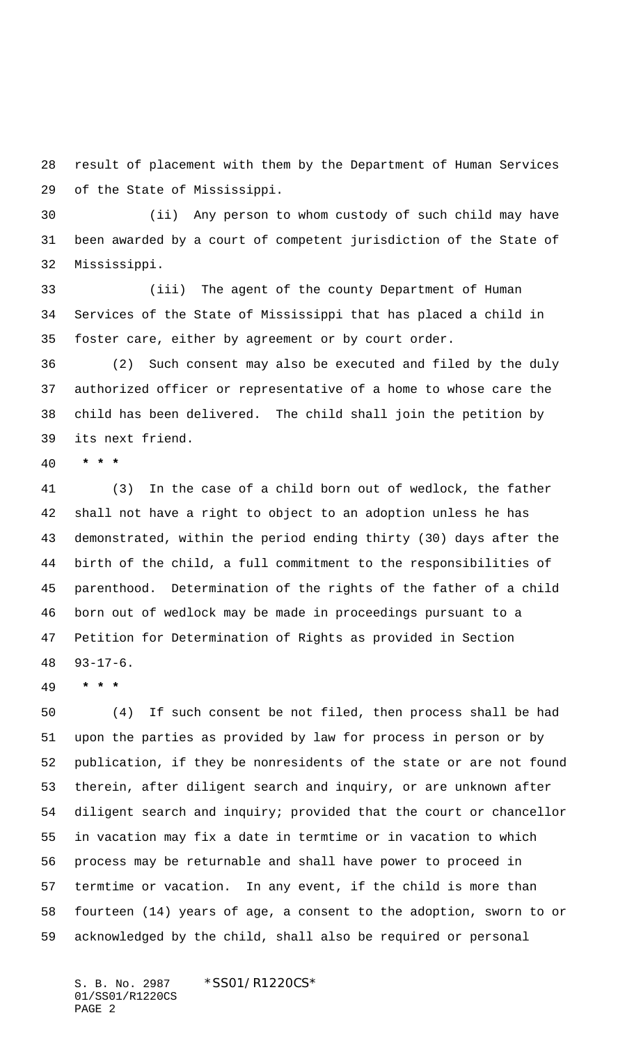result of placement with them by the Department of Human Services of the State of Mississippi.

 (ii) Any person to whom custody of such child may have been awarded by a court of competent jurisdiction of the State of Mississippi.

 (iii) The agent of the county Department of Human Services of the State of Mississippi that has placed a child in foster care, either by agreement or by court order.

 (2) Such consent may also be executed and filed by the duly authorized officer or representative of a home to whose care the child has been delivered. The child shall join the petition by its next friend.

 **\* \* \***

 (3) In the case of a child born out of wedlock, the father shall not have a right to object to an adoption unless he has demonstrated, within the period ending thirty (30) days after the birth of the child, a full commitment to the responsibilities of parenthood. Determination of the rights of the father of a child born out of wedlock may be made in proceedings pursuant to a Petition for Determination of Rights as provided in Section 93-17-6.

 **\* \* \***

 (4) If such consent be not filed, then process shall be had upon the parties as provided by law for process in person or by publication, if they be nonresidents of the state or are not found therein, after diligent search and inquiry, or are unknown after diligent search and inquiry; provided that the court or chancellor in vacation may fix a date in termtime or in vacation to which process may be returnable and shall have power to proceed in termtime or vacation. In any event, if the child is more than fourteen (14) years of age, a consent to the adoption, sworn to or acknowledged by the child, shall also be required or personal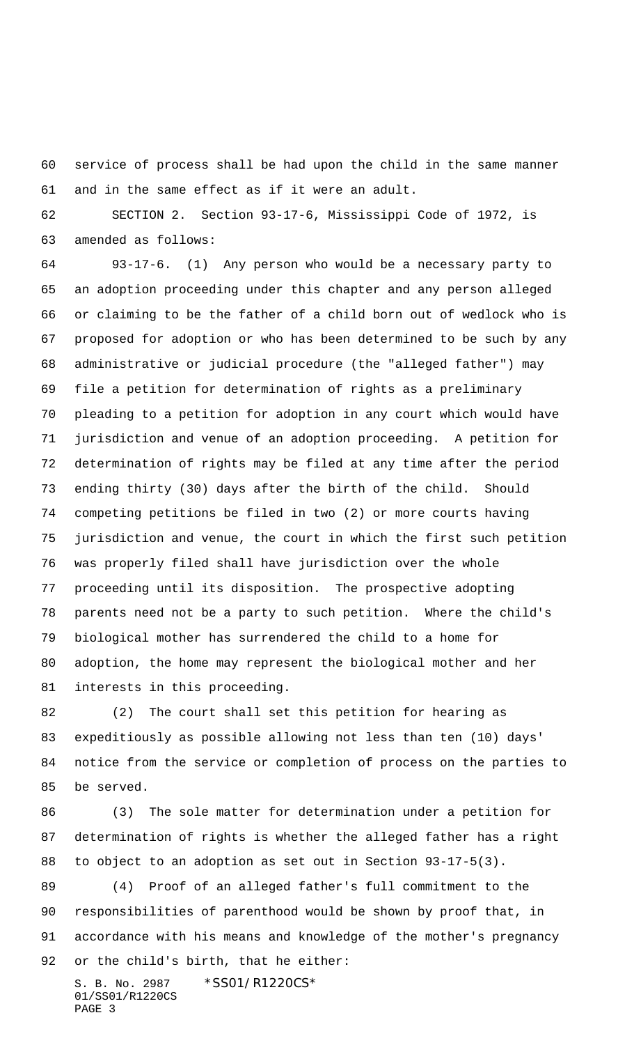service of process shall be had upon the child in the same manner and in the same effect as if it were an adult.

 SECTION 2. Section 93-17-6, Mississippi Code of 1972, is amended as follows:

 93-17-6. (1) Any person who would be a necessary party to an adoption proceeding under this chapter and any person alleged or claiming to be the father of a child born out of wedlock who is proposed for adoption or who has been determined to be such by any administrative or judicial procedure (the "alleged father") may file a petition for determination of rights as a preliminary pleading to a petition for adoption in any court which would have jurisdiction and venue of an adoption proceeding. A petition for determination of rights may be filed at any time after the period ending thirty (30) days after the birth of the child. Should competing petitions be filed in two (2) or more courts having jurisdiction and venue, the court in which the first such petition was properly filed shall have jurisdiction over the whole proceeding until its disposition. The prospective adopting parents need not be a party to such petition. Where the child's biological mother has surrendered the child to a home for adoption, the home may represent the biological mother and her interests in this proceeding.

 (2) The court shall set this petition for hearing as expeditiously as possible allowing not less than ten (10) days' notice from the service or completion of process on the parties to be served.

 (3) The sole matter for determination under a petition for determination of rights is whether the alleged father has a right to object to an adoption as set out in Section 93-17-5(3).

 (4) Proof of an alleged father's full commitment to the responsibilities of parenthood would be shown by proof that, in accordance with his means and knowledge of the mother's pregnancy or the child's birth, that he either: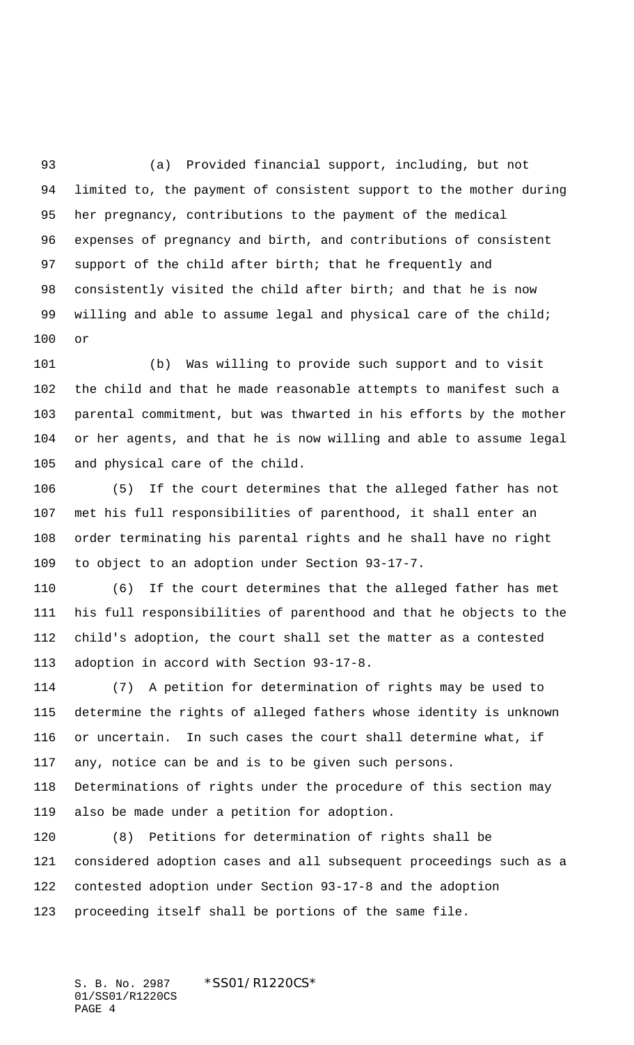(a) Provided financial support, including, but not limited to, the payment of consistent support to the mother during her pregnancy, contributions to the payment of the medical expenses of pregnancy and birth, and contributions of consistent support of the child after birth; that he frequently and consistently visited the child after birth; and that he is now 99 willing and able to assume legal and physical care of the child; or

 (b) Was willing to provide such support and to visit the child and that he made reasonable attempts to manifest such a parental commitment, but was thwarted in his efforts by the mother or her agents, and that he is now willing and able to assume legal and physical care of the child.

 (5) If the court determines that the alleged father has not met his full responsibilities of parenthood, it shall enter an order terminating his parental rights and he shall have no right to object to an adoption under Section 93-17-7.

 (6) If the court determines that the alleged father has met his full responsibilities of parenthood and that he objects to the child's adoption, the court shall set the matter as a contested adoption in accord with Section 93-17-8.

 (7) A petition for determination of rights may be used to determine the rights of alleged fathers whose identity is unknown or uncertain. In such cases the court shall determine what, if any, notice can be and is to be given such persons.

 Determinations of rights under the procedure of this section may also be made under a petition for adoption.

 (8) Petitions for determination of rights shall be considered adoption cases and all subsequent proceedings such as a contested adoption under Section 93-17-8 and the adoption proceeding itself shall be portions of the same file.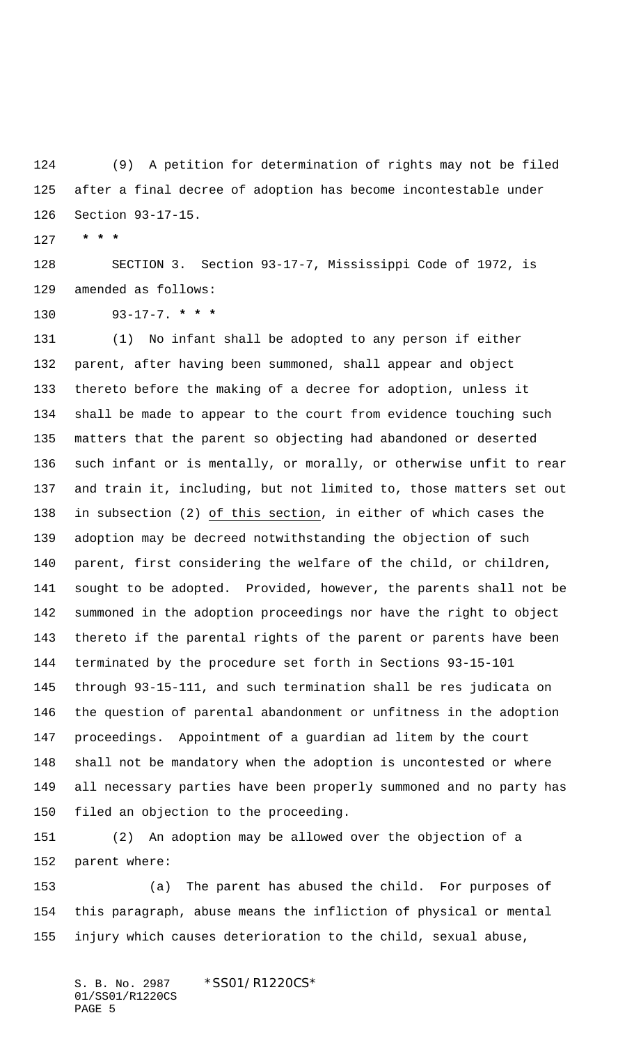(9) A petition for determination of rights may not be filed after a final decree of adoption has become incontestable under Section 93-17-15.

 **\* \* \***

 SECTION 3. Section 93-17-7, Mississippi Code of 1972, is amended as follows:

93-17-7. **\* \* \***

 (1) No infant shall be adopted to any person if either parent, after having been summoned, shall appear and object thereto before the making of a decree for adoption, unless it shall be made to appear to the court from evidence touching such matters that the parent so objecting had abandoned or deserted such infant or is mentally, or morally, or otherwise unfit to rear and train it, including, but not limited to, those matters set out 138 in subsection (2) of this section, in either of which cases the adoption may be decreed notwithstanding the objection of such parent, first considering the welfare of the child, or children, sought to be adopted. Provided, however, the parents shall not be summoned in the adoption proceedings nor have the right to object thereto if the parental rights of the parent or parents have been terminated by the procedure set forth in Sections 93-15-101 through 93-15-111, and such termination shall be res judicata on the question of parental abandonment or unfitness in the adoption proceedings. Appointment of a guardian ad litem by the court shall not be mandatory when the adoption is uncontested or where all necessary parties have been properly summoned and no party has filed an objection to the proceeding.

 (2) An adoption may be allowed over the objection of a parent where:

 (a) The parent has abused the child. For purposes of this paragraph, abuse means the infliction of physical or mental injury which causes deterioration to the child, sexual abuse,